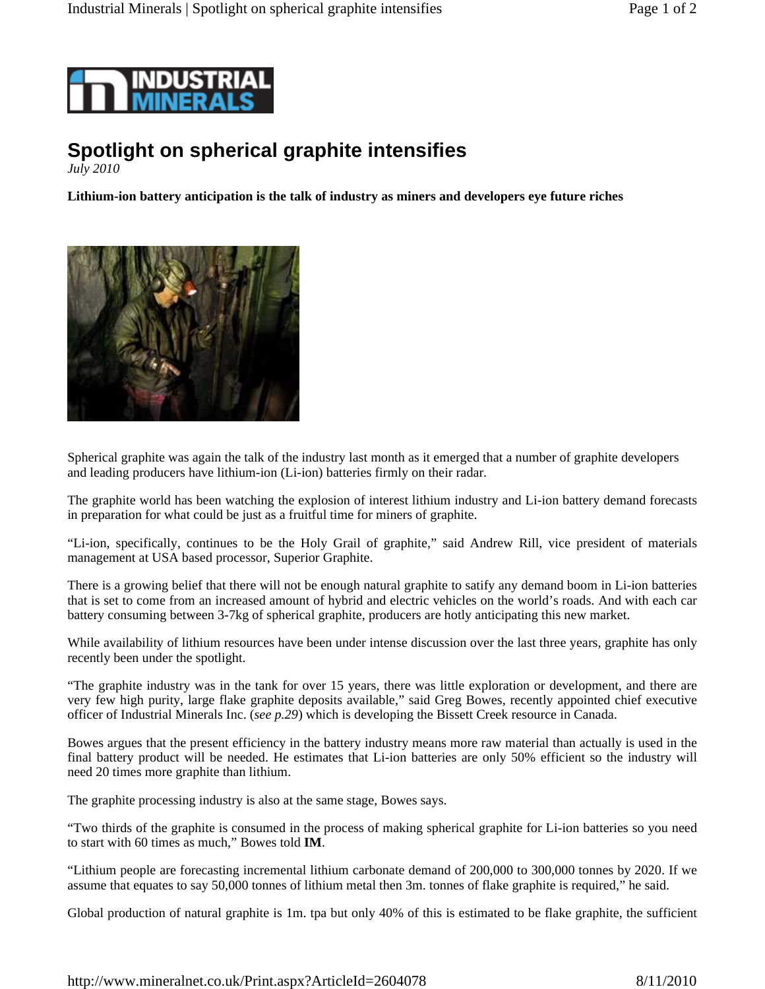

## **Spotlight on spherical graphite intensifies**

*July 2010* 

**Lithium-ion battery anticipation is the talk of industry as miners and developers eye future riches** 



Spherical graphite was again the talk of the industry last month as it emerged that a number of graphite developers and leading producers have lithium-ion (Li-ion) batteries firmly on their radar.

The graphite world has been watching the explosion of interest lithium industry and Li-ion battery demand forecasts in preparation for what could be just as a fruitful time for miners of graphite.

"Li-ion, specifically, continues to be the Holy Grail of graphite," said Andrew Rill, vice president of materials management at USA based processor, Superior Graphite.

There is a growing belief that there will not be enough natural graphite to satify any demand boom in Li-ion batteries that is set to come from an increased amount of hybrid and electric vehicles on the world's roads. And with each car battery consuming between 3-7kg of spherical graphite, producers are hotly anticipating this new market.

While availability of lithium resources have been under intense discussion over the last three years, graphite has only recently been under the spotlight.

"The graphite industry was in the tank for over 15 years, there was little exploration or development, and there are very few high purity, large flake graphite deposits available," said Greg Bowes, recently appointed chief executive officer of Industrial Minerals Inc. (*see p.29*) which is developing the Bissett Creek resource in Canada.

Bowes argues that the present efficiency in the battery industry means more raw material than actually is used in the final battery product will be needed. He estimates that Li-ion batteries are only 50% efficient so the industry will need 20 times more graphite than lithium.

The graphite processing industry is also at the same stage, Bowes says.

"Two thirds of the graphite is consumed in the process of making spherical graphite for Li-ion batteries so you need to start with 60 times as much," Bowes told **IM**.

"Lithium people are forecasting incremental lithium carbonate demand of 200,000 to 300,000 tonnes by 2020. If we assume that equates to say 50,000 tonnes of lithium metal then 3m. tonnes of flake graphite is required," he said.

Global production of natural graphite is 1m. tpa but only 40% of this is estimated to be flake graphite, the sufficient